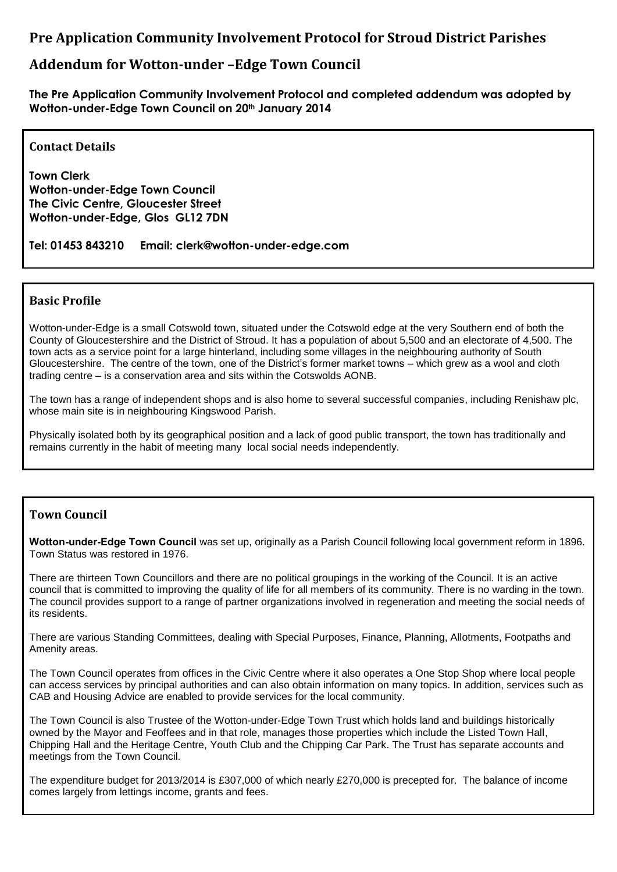# **Pre Application Community Involvement Protocol for Stroud District Parishes**

# **Addendum for Wotton-under –Edge Town Council**

**The Pre Application Community Involvement Protocol and completed addendum was adopted by Wotton-under-Edge Town Council on 20th January 2014**

### **Contact Details**

**Town Clerk Wotton-under-Edge Town Council The Civic Centre, Gloucester Street Wotton-under-Edge, Glos GL12 7DN**

**Tel: 01453 843210 Email: clerk@wotton-under-edge.com**

#### **Basic Profile**

Wotton-under-Edge is a small Cotswold town, situated under the Cotswold edge at the very Southern end of both the County of Gloucestershire and the District of Stroud. It has a population of about 5,500 and an electorate of 4,500. The town acts as a service point for a large hinterland, including some villages in the neighbouring authority of South Gloucestershire. The centre of the town, one of the District's former market towns – which grew as a wool and cloth trading centre – is a conservation area and sits within the Cotswolds AONB.

The town has a range of independent shops and is also home to several successful companies, including Renishaw plc, whose main site is in neighbouring Kingswood Parish.

Physically isolated both by its geographical position and a lack of good public transport, the town has traditionally and remains currently in the habit of meeting many local social needs independently.

# **Town Council**

**Wotton-under-Edge Town Council** was set up, originally as a Parish Council following local government reform in 1896. Town Status was restored in 1976.

There are thirteen Town Councillors and there are no political groupings in the working of the Council. It is an active council that is committed to improving the quality of life for all members of its community. There is no warding in the town. The council provides support to a range of partner organizations involved in regeneration and meeting the social needs of its residents.

There are various Standing Committees, dealing with Special Purposes, Finance, Planning, Allotments, Footpaths and Amenity areas.

The Town Council operates from offices in the Civic Centre where it also operates a One Stop Shop where local people can access services by principal authorities and can also obtain information on many topics. In addition, services such as CAB and Housing Advice are enabled to provide services for the local community.

The Town Council is also Trustee of the Wotton-under-Edge Town Trust which holds land and buildings historically owned by the Mayor and Feoffees and in that role, manages those properties which include the Listed Town Hall, Chipping Hall and the Heritage Centre, Youth Club and the Chipping Car Park. The Trust has separate accounts and meetings from the Town Council.

The expenditure budget for 2013/2014 is £307,000 of which nearly £270,000 is precepted for. The balance of income comes largely from lettings income, grants and fees.